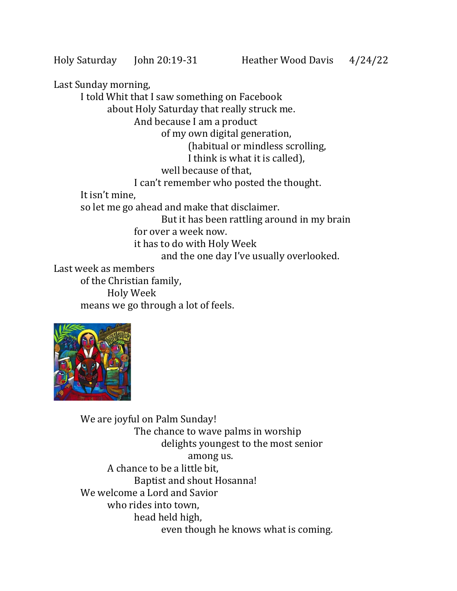Last Sunday morning, I told Whit that I saw something on Facebook about Holy Saturday that really struck me. And because I am a product of my own digital generation, (habitual or mindless scrolling, I think is what it is called), well because of that, I can't remember who posted the thought. It isn't mine, so let me go ahead and make that disclaimer. But it has been rattling around in my brain for over a week now. it has to do with Holy Week and the one day I've usually overlooked. Last week as members of the Christian family, Holy Week means we go through a lot of feels.



We are joyful on Palm Sunday! The chance to wave palms in worship delights youngest to the most senior among us. A chance to be a little bit, Baptist and shout Hosanna! We welcome a Lord and Savior who rides into town, head held high, even though he knows what is coming.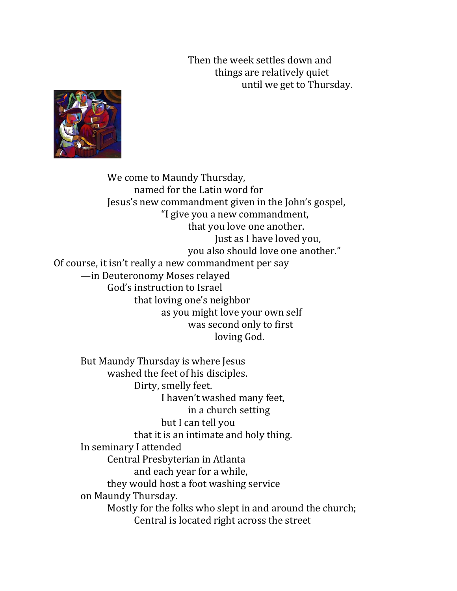Then the week settles down and things are relatively quiet until we get to Thursday.



We come to Maundy Thursday, named for the Latin word for Jesus's new commandment given in the John's gospel, "I give you a new commandment, that you love one another. Just as I have loved you, you also should love one another." Of course, it isn't really a new commandment per say —in Deuteronomy Moses relayed God's instruction to Israel that loving one's neighbor as you might love your own self was second only to first loving God.

But Maundy Thursday is where Jesus washed the feet of his disciples. Dirty, smelly feet. I haven't washed many feet, in a church setting but I can tell you that it is an intimate and holy thing. In seminary I attended Central Presbyterian in Atlanta and each year for a while, they would host a foot washing service on Maundy Thursday. Mostly for the folks who slept in and around the church; Central is located right across the street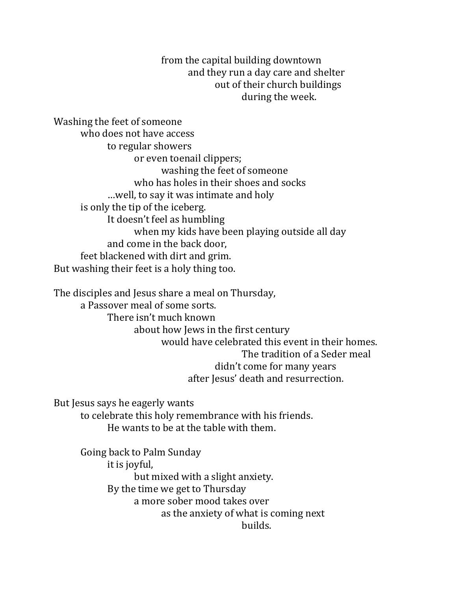from the capital building downtown and they run a day care and shelter out of their church buildings during the week.

Washing the feet of someone who does not have access to regular showers or even toenail clippers; washing the feet of someone who has holes in their shoes and socks …well, to say it was intimate and holy is only the tip of the iceberg. It doesn't feel as humbling when my kids have been playing outside all day and come in the back door, feet blackened with dirt and grim. But washing their feet is a holy thing too.

The disciples and Jesus share a meal on Thursday, a Passover meal of some sorts. There isn't much known about how Jews in the first century would have celebrated this event in their homes. The tradition of a Seder meal didn't come for many years after Jesus' death and resurrection.

But Jesus says he eagerly wants

to celebrate this holy remembrance with his friends. He wants to be at the table with them.

Going back to Palm Sunday it is joyful, but mixed with a slight anxiety. By the time we get to Thursday a more sober mood takes over as the anxiety of what is coming next builds.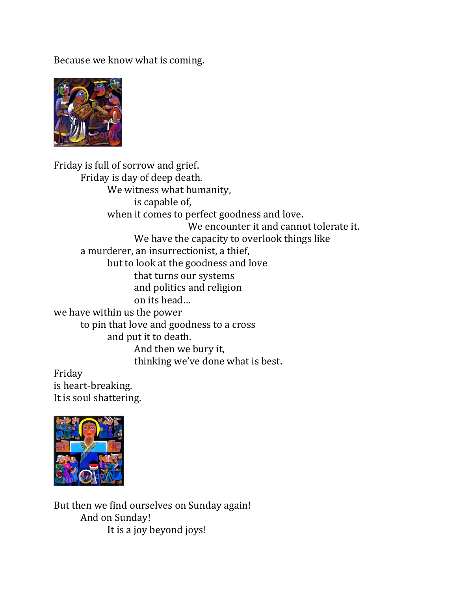Because we know what is coming.



Friday is full of sorrow and grief. Friday is day of deep death. We witness what humanity, is capable of, when it comes to perfect goodness and love. We encounter it and cannot tolerate it. We have the capacity to overlook things like a murderer, an insurrectionist, a thief, but to look at the goodness and love that turns our systems and politics and religion on its head… we have within us the power to pin that love and goodness to a cross and put it to death. And then we bury it, thinking we've done what is best.

Friday is heart-breaking. It is soul shattering.



But then we find ourselves on Sunday again! And on Sunday! It is a joy beyond joys!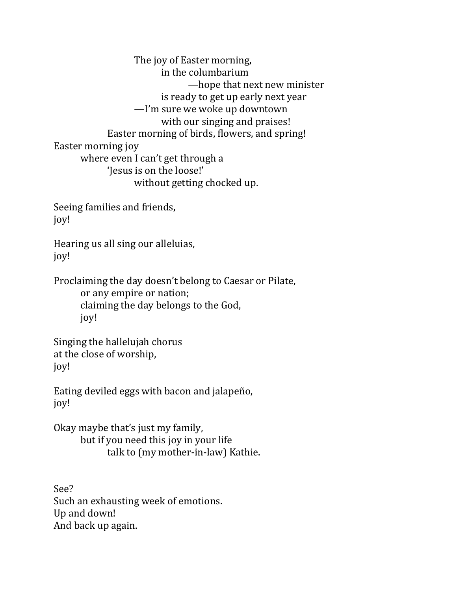The joy of Easter morning, in the columbarium —hope that next new minister is ready to get up early next year —I'm sure we woke up downtown with our singing and praises! Easter morning of birds, flowers, and spring! Easter morning joy where even I can't get through a 'Jesus is on the loose!' without getting chocked up.

Seeing families and friends, joy!

Hearing us all sing our alleluias, joy!

Proclaiming the day doesn't belong to Caesar or Pilate,

or any empire or nation; claiming the day belongs to the God, joy!

Singing the hallelujah chorus at the close of worship, joy!

Eating deviled eggs with bacon and jalapeño, joy!

Okay maybe that's just my family, but if you need this joy in your life talk to (my mother-in-law) Kathie.

See? Such an exhausting week of emotions. Up and down! And back up again.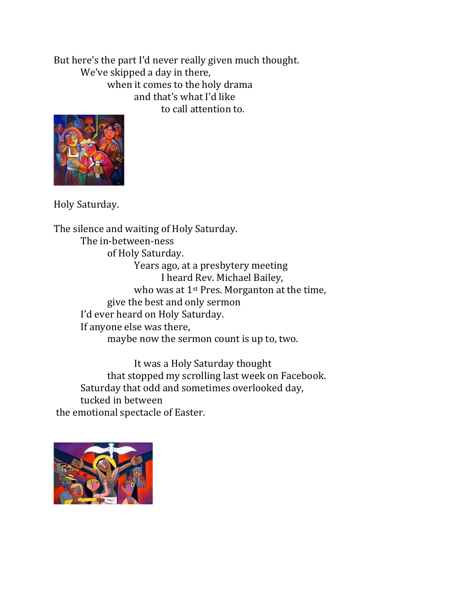But here's the part I'd never really given much thought. We've skipped a day in there, when it comes to the holy drama and that's what I'd like to call attention to.



Holy Saturday.

The silence and waiting of Holy Saturday. The in-between-ness of Holy Saturday. Years ago, at a presbytery meeting I heard Rev. Michael Bailey, who was at 1<sup>st</sup> Pres. Morganton at the time, give the best and only sermon I'd ever heard on Holy Saturday. If anyone else was there, maybe now the sermon count is up to, two.

It was a Holy Saturday thought that stopped my scrolling last week on Facebook. Saturday that odd and sometimes overlooked day, tucked in between the emotional spectacle of Easter.

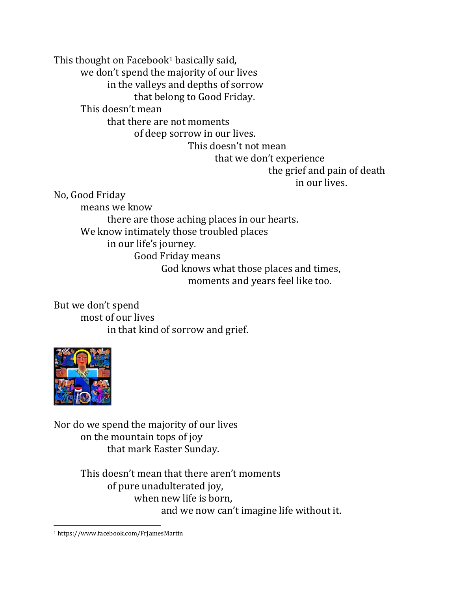This thought on Facebook<sup>1</sup> basically said,

we don't spend the majority of our lives

in the valleys and depths of sorrow

that belong to Good Friday.

This doesn't mean

that there are not moments

of deep sorrow in our lives.

This doesn't not mean

that we don't experience

the grief and pain of death in our lives.

No, Good Friday

means we know there are those aching places in our hearts. We know intimately those troubled places in our life's journey. Good Friday means God knows what those places and times, moments and years feel like too.

But we don't spend most of our lives in that kind of sorrow and grief.



Nor do we spend the majority of our lives on the mountain tops of joy that mark Easter Sunday.

> This doesn't mean that there aren't moments of pure unadulterated joy, when new life is born, and we now can't imagine life without it.

<sup>1</sup> https://www.facebook.com/FrJamesMartin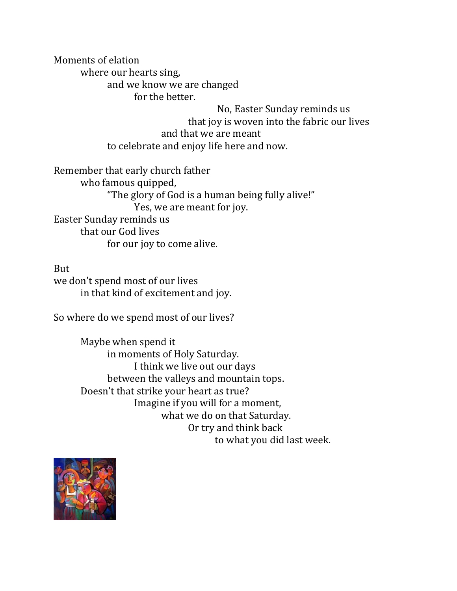Moments of elation where our hearts sing, and we know we are changed for the better.

> No, Easter Sunday reminds us that joy is woven into the fabric our lives and that we are meant to celebrate and enjoy life here and now.

Remember that early church father who famous quipped, "The glory of God is a human being fully alive!" Yes, we are meant for joy. Easter Sunday reminds us that our God lives for our joy to come alive.

But we don't spend most of our lives in that kind of excitement and joy.

So where do we spend most of our lives?

Maybe when spend it in moments of Holy Saturday. I think we live out our days between the valleys and mountain tops. Doesn't that strike your heart as true? Imagine if you will for a moment, what we do on that Saturday. Or try and think back to what you did last week.

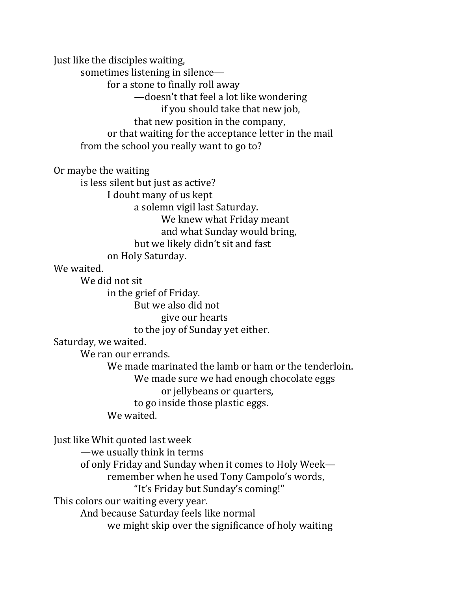Just like the disciples waiting, sometimes listening in silence for a stone to finally roll away —doesn't that feel a lot like wondering if you should take that new job, that new position in the company, or that waiting for the acceptance letter in the mail from the school you really want to go to? Or maybe the waiting is less silent but just as active? I doubt many of us kept a solemn vigil last Saturday. We knew what Friday meant and what Sunday would bring, but we likely didn't sit and fast on Holy Saturday. We waited. We did not sit in the grief of Friday. But we also did not give our hearts to the joy of Sunday yet either. Saturday, we waited. We ran our errands. We made marinated the lamb or ham or the tenderloin. We made sure we had enough chocolate eggs or jellybeans or quarters, to go inside those plastic eggs. We waited. Just like Whit quoted last week —we usually think in terms of only Friday and Sunday when it comes to Holy Week remember when he used Tony Campolo's words, "It's Friday but Sunday's coming!" This colors our waiting every year. And because Saturday feels like normal

we might skip over the significance of holy waiting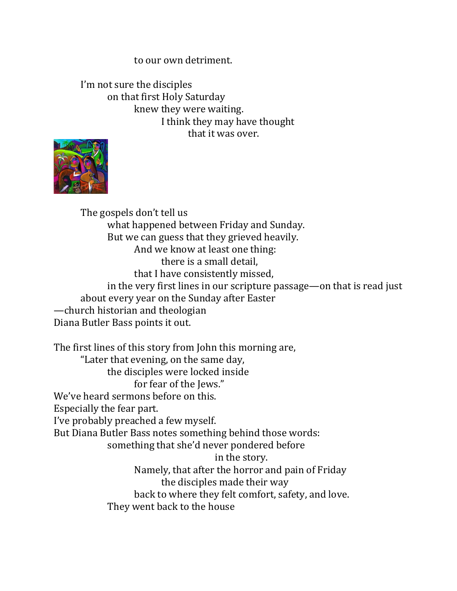## to our own detriment.

I'm not sure the disciples on that first Holy Saturday knew they were waiting. I think they may have thought that it was over.



The gospels don't tell us what happened between Friday and Sunday. But we can guess that they grieved heavily. And we know at least one thing: there is a small detail, that I have consistently missed, in the very first lines in our scripture passage—on that is read just about every year on the Sunday after Easter —church historian and theologian Diana Butler Bass points it out.

The first lines of this story from John this morning are, "Later that evening, on the same day, the disciples were locked inside for fear of the Jews." We've heard sermons before on this. Especially the fear part. I've probably preached a few myself. But Diana Butler Bass notes something behind those words: something that she'd never pondered before in the story. Namely, that after the horror and pain of Friday the disciples made their way back to where they felt comfort, safety, and love. They went back to the house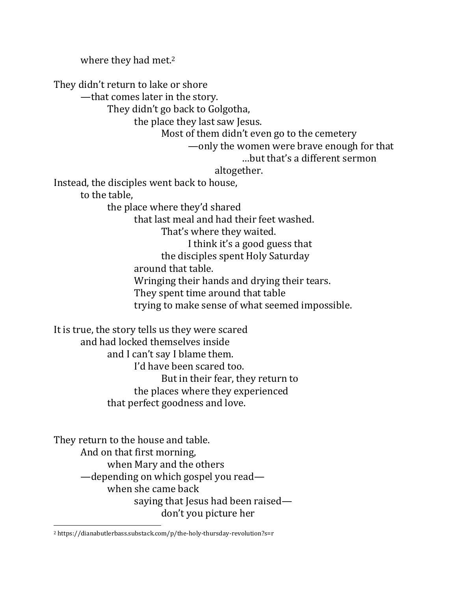where they had met.<sup>2</sup> They didn't return to lake or shore —that comes later in the story. They didn't go back to Golgotha, the place they last saw Jesus. Most of them didn't even go to the cemetery —only the women were brave enough for that …but that's a different sermon altogether. Instead, the disciples went back to house, to the table, the place where they'd shared that last meal and had their feet washed. That's where they waited. I think it's a good guess that the disciples spent Holy Saturday around that table. Wringing their hands and drying their tears. They spent time around that table trying to make sense of what seemed impossible. It is true, the story tells us they were scared and had locked themselves inside and I can't say I blame them. I'd have been scared too. But in their fear, they return to the places where they experienced that perfect goodness and love.

They return to the house and table. And on that first morning, when Mary and the others —depending on which gospel you read when she came back saying that Jesus had been raised don't you picture her

<sup>2</sup> https://dianabutlerbass.substack.com/p/the-holy-thursday-revolution?s=r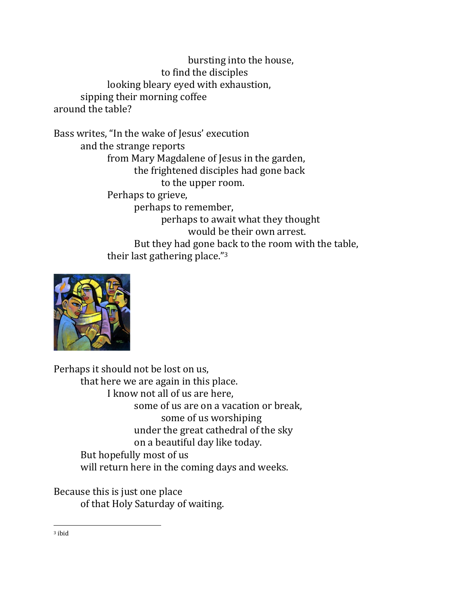bursting into the house, to find the disciples looking bleary eyed with exhaustion, sipping their morning coffee around the table?

Bass writes, "In the wake of Jesus' execution and the strange reports from Mary Magdalene of Jesus in the garden, the frightened disciples had gone back to the upper room. Perhaps to grieve, perhaps to remember, perhaps to await what they thought would be their own arrest. But they had gone back to the room with the table, their last gathering place."<sup>3</sup>



Perhaps it should not be lost on us, that here we are again in this place. I know not all of us are here, some of us are on a vacation or break, some of us worshiping under the great cathedral of the sky on a beautiful day like today. But hopefully most of us will return here in the coming days and weeks.

Because this is just one place of that Holy Saturday of waiting.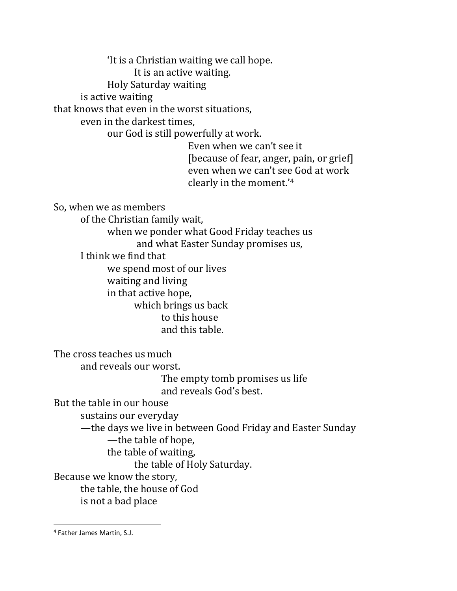'It is a Christian waiting we call hope.

It is an active waiting.

Holy Saturday waiting

is active waiting

that knows that even in the worst situations,

even in the darkest times,

our God is still powerfully at work.

Even when we can't see it [because of fear, anger, pain, or grief] even when we can't see God at work clearly in the moment.'<sup>4</sup>

So, when we as members

of the Christian family wait,

when we ponder what Good Friday teaches us

and what Easter Sunday promises us,

I think we find that

we spend most of our lives waiting and living in that active hope, which brings us back to this house and this table.

The cross teaches us much

and reveals our worst.

The empty tomb promises us life and reveals God's best.

But the table in our house

sustains our everyday

—the days we live in between Good Friday and Easter Sunday

—the table of hope,

the table of waiting,

the table of Holy Saturday.

Because we know the story,

the table, the house of God

is not a bad place

<sup>4</sup> Father James Martin, S.J.